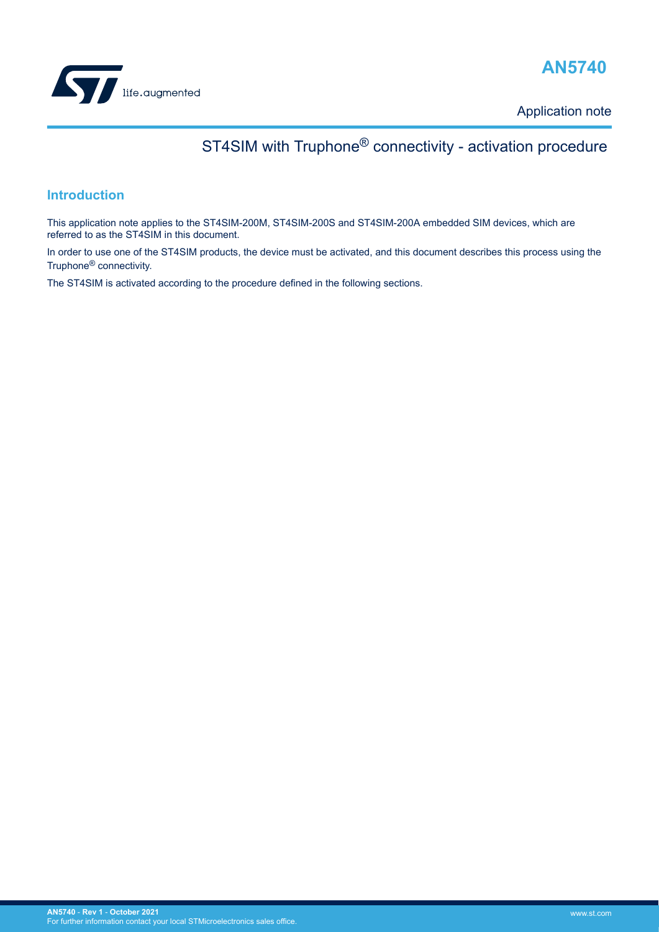

## **AN5740**

Application note

# ST4SIM with Truphone® connectivity - activation procedure

### **Introduction**

This application note applies to the ST4SIM-200M, ST4SIM-200S and ST4SIM-200A embedded SIM devices, which are referred to as the ST4SIM in this document.

In order to use one of the ST4SIM products, the device must be activated, and this document describes this process using the Truphone® connectivity.

The ST4SIM is activated according to the procedure defined in the following sections.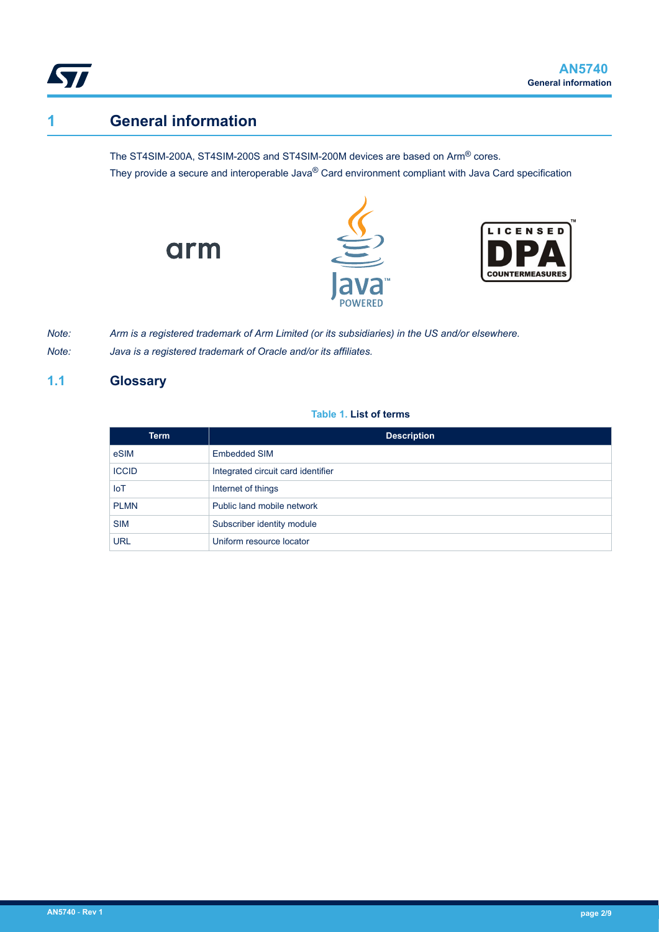<span id="page-1-0"></span>

## **1 General information**

The ST4SIM-200A, ST4SIM-200S and ST4SIM-200M devices are based on Arm® cores. They provide a secure and interoperable Java® Card environment compliant with Java Card specification





*Note: Arm is a registered trademark of Arm Limited (or its subsidiaries) in the US and/or elsewhere.*

*Note: Java is a registered trademark of Oracle and/or its affiliates.*

arm

### **1.1 Glossary**

#### **Table 1. List of terms**

| <b>Term</b>  | <b>Description</b>                 |
|--------------|------------------------------------|
| eSIM         | <b>Embedded SIM</b>                |
| <b>ICCID</b> | Integrated circuit card identifier |
| <b>IoT</b>   | Internet of things                 |
| <b>PLMN</b>  | Public land mobile network         |
| <b>SIM</b>   | Subscriber identity module         |
| URL          | Uniform resource locator           |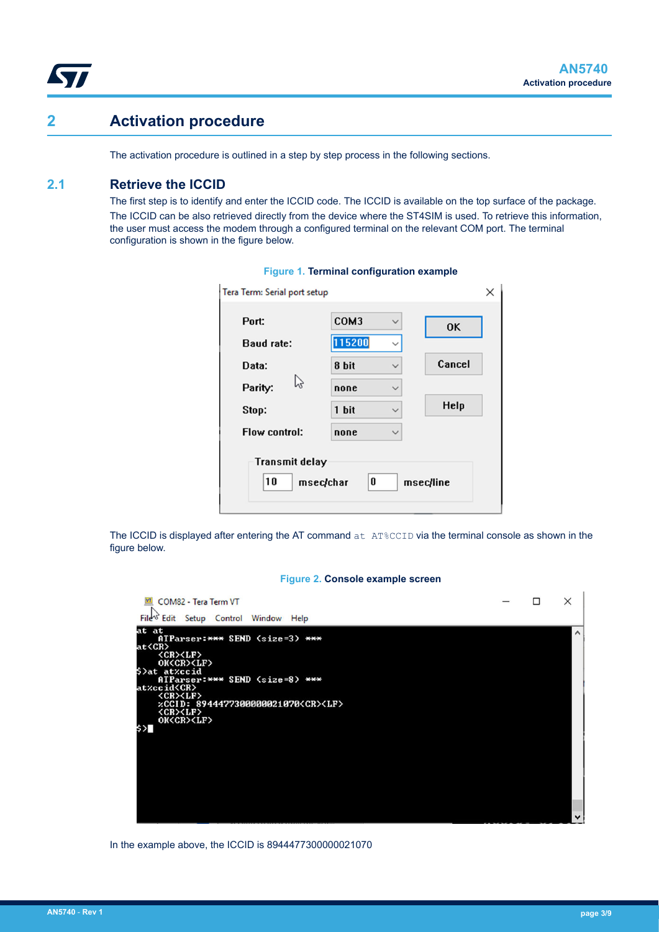<span id="page-2-0"></span>

### **2 Activation procedure**

The activation procedure is outlined in a step by step process in the following sections.

### **2.1 Retrieve the ICCID**

The first step is to identify and enter the ICCID code. The ICCID is available on the top surface of the package. The ICCID can be also retrieved directly from the device where the ST4SIM is used. To retrieve this information, the user must access the modem through a configured terminal on the relevant COM port. The terminal configuration is shown in the figure below.

| Port:<br><b>Baud rate:</b>  | COM3<br>115200 | $\checkmark$<br>$\checkmark$ | OK        |
|-----------------------------|----------------|------------------------------|-----------|
| Data:                       | 8 bit          | $\checkmark$                 | Cancel    |
| B<br>Parity:                | none           | $\checkmark$                 |           |
| Stop:                       | 1 bit          | $\checkmark$                 | Help      |
| Flow control:               | none           | $\checkmark$                 |           |
| <b>Transmit delay</b><br>10 | 0<br>msec/char |                              | msec/line |

#### **Figure 1. Terminal configuration example**

The ICCID is displayed after entering the AT command  $at$   $AT$ %CCID via the terminal console as shown in the figure below.

#### **Figure 2. Console example screen**



In the example above, the ICCID is 8944477300000021070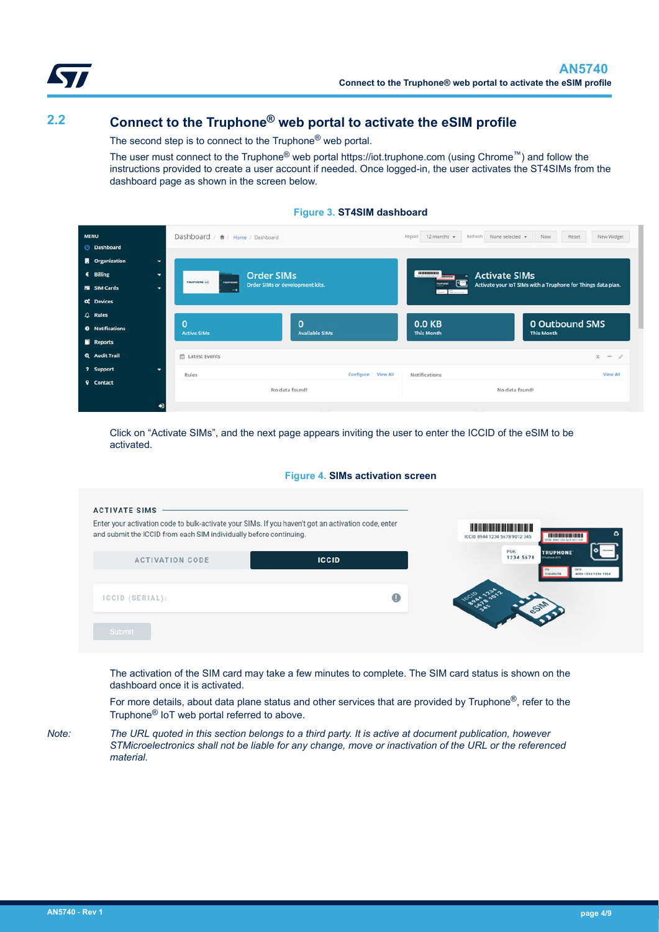<span id="page-3-0"></span>

## **2.2 Connect to the Truphone® web portal to activate the eSIM profile**

The second step is to connect to the Truphone<sup>®</sup> web portal.

The user must connect to the Truphone® web portal https://iot.truphone.com (using Chrome™) and follow the instructions provided to create a user account if needed. Once logged-in, the user activates the ST4SIMs from the dashboard page as shown in the screen below.



| <b>MENU</b><br><b>O</b> Dashboard | Dashboard / A / Home / Dashboard              |                                   | Reset<br>New Widget<br>$12$ months $\sim$<br>Refresh<br>None selected =<br>Now<br>Report |                                                              |  |
|-----------------------------------|-----------------------------------------------|-----------------------------------|------------------------------------------------------------------------------------------|--------------------------------------------------------------|--|
| <b>Organization</b><br>۰          |                                               |                                   |                                                                                          |                                                              |  |
| € Billing<br>٠                    |                                               | <b>Order SIMs</b>                 | 101000000<br><b>Activate SIMs</b><br>$\bullet$<br><b>COLOR</b>                           |                                                              |  |
| <b>E SIM Cards</b><br>$\bullet$   | <b>TRUPHONE INT</b><br><b>TRUPHONE</b><br>- . | Order SIMs or development kits.   | <u>ي تاي</u><br><b>TRUPHONE</b><br>Tore, Telescope                                       | Activate your IoT SIMs with a Truphone for Things data plan. |  |
| of Devices                        |                                               |                                   |                                                                                          |                                                              |  |
| $Q$ Rules                         |                                               |                                   |                                                                                          |                                                              |  |
| <b>O</b> Notifications            | $\bf{0}$<br><b>Active SIMs</b>                | $\Omega$<br><b>Available SIMs</b> | 0.0 KB<br><b>This Month</b>                                                              | 0 Outbound SMS<br><b>This Month</b>                          |  |
| Reports                           |                                               |                                   |                                                                                          |                                                              |  |
| <b>Q</b> Audit Trail              | 台 Latest Events                               |                                   |                                                                                          | $x - t$                                                      |  |
| ? Support<br>۰                    | Rules                                         | Configure View All                | Notifications                                                                            | View All                                                     |  |
| <b>Q</b> Contact<br>₩             |                                               | No data found!                    |                                                                                          | No data found!                                               |  |

Click on "Activate SIMs", and the next page appears inviting the user to enter the ICCID of the eSIM to be activated.

#### **Figure 4. SIMs activation screen**

| Enter your activation code to bulk-activate your SIMs. If you haven't got an activation code, enter<br>and submit the ICCID from each SIM individually before continuing. |              | <u> I di bilim di bilim di bilim di bilim di bilim di bilim di bilim di bilim di bilim di bilim di bilim di bili</u><br>ICCID 8944 1234 5678 9012 345<br>stick alsee title face send |
|---------------------------------------------------------------------------------------------------------------------------------------------------------------------------|--------------|--------------------------------------------------------------------------------------------------------------------------------------------------------------------------------------|
| <b>ACTIVATION CODE</b>                                                                                                                                                    | <b>ICCID</b> | PUK<br><b>TRUPHONE</b><br>1234 5678<br><b>Suphane 2019</b><br>4459 1234 1234 1234<br>12345474                                                                                        |
| ICCID (SERIAL):                                                                                                                                                           | $\bf \Phi$   |                                                                                                                                                                                      |
| Submit                                                                                                                                                                    |              |                                                                                                                                                                                      |

The activation of the SIM card may take a few minutes to complete. The SIM card status is shown on the dashboard once it is activated.

For more details, about data plane status and other services that are provided by Truphone<sup>®</sup>, refer to the Truphone® IoT web portal referred to above.

*Note: The URL quoted in this section belongs to a third party. It is active at document publication, however STMicroelectronics shall not be liable for any change, move or inactivation of the URL or the referenced material.*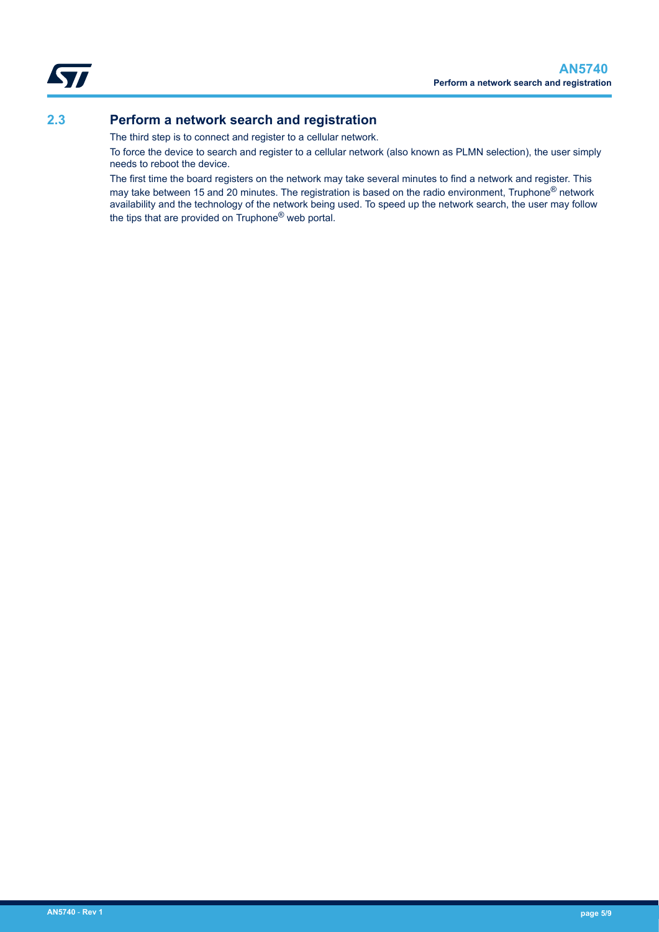<span id="page-4-0"></span>

### **2.3 Perform a network search and registration**

The third step is to connect and register to a cellular network.

To force the device to search and register to a cellular network (also known as PLMN selection), the user simply needs to reboot the device.

The first time the board registers on the network may take several minutes to find a network and register. This may take between 15 and 20 minutes. The registration is based on the radio environment, Truphone<sup>®</sup> network availability and the technology of the network being used. To speed up the network search, the user may follow the tips that are provided on Truphone® web portal.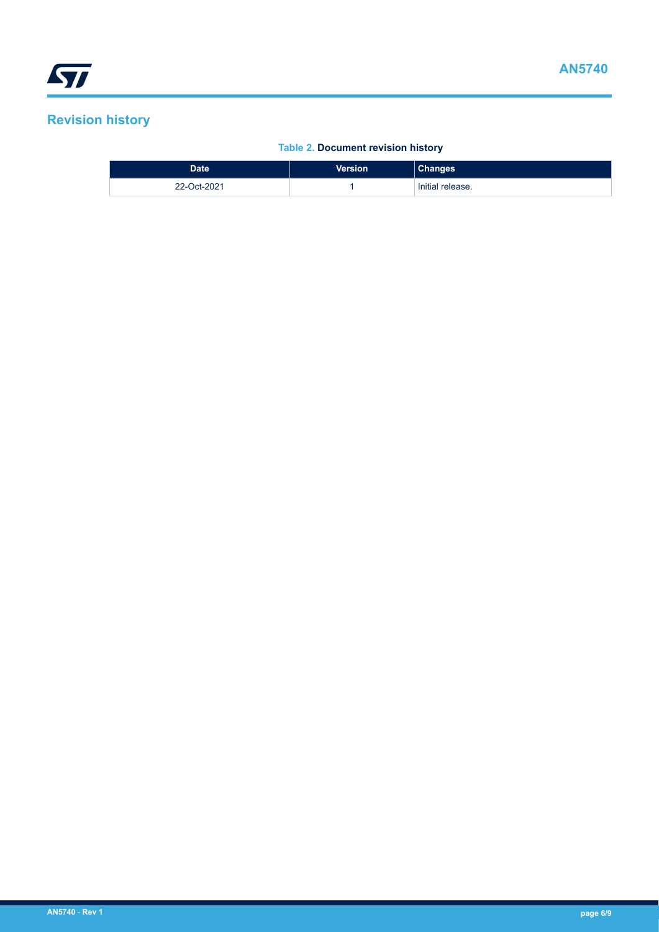## <span id="page-5-0"></span>**Revision history**

### **Table 2. Document revision history**

| <b>Date</b> | <b>Version</b> | <b>Changes</b>   |
|-------------|----------------|------------------|
| 22-Oct-2021 |                | Initial release. |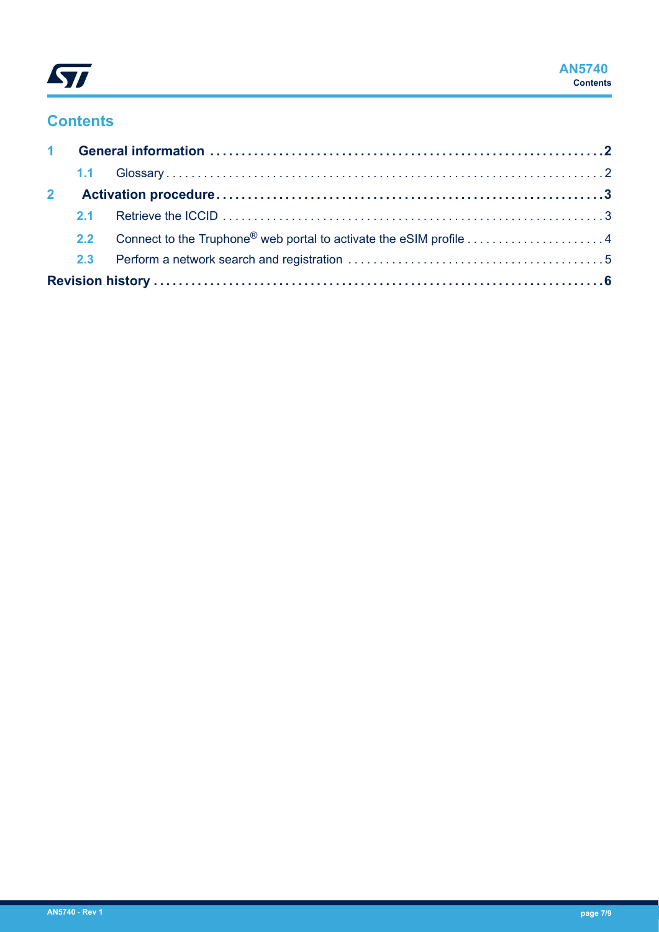

## **Contents**

| $\mathbf{2}$ |     |                                                                        |  |
|--------------|-----|------------------------------------------------------------------------|--|
|              |     |                                                                        |  |
|              |     | 2.2 Connect to the Truphone® web portal to activate the eSIM profile 4 |  |
|              | 2.3 |                                                                        |  |
|              |     |                                                                        |  |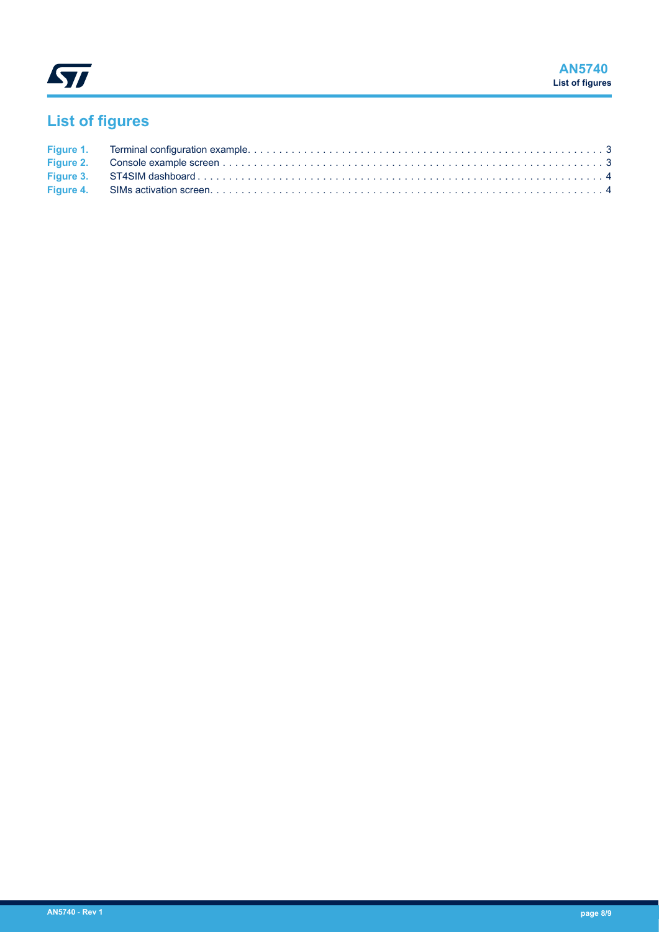

# **List of figures**